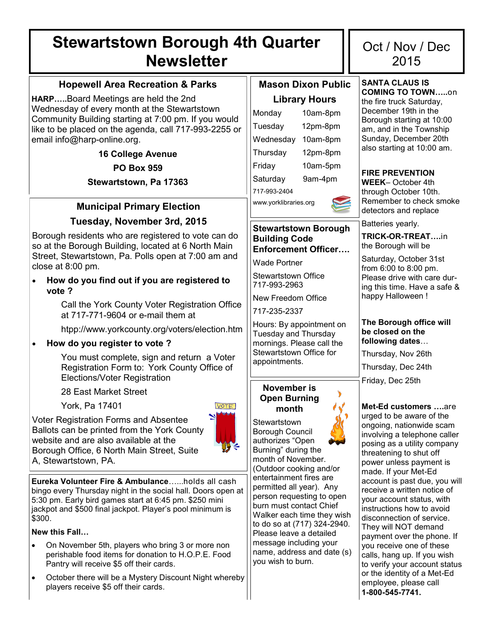# **Stewartstown Borough 4th Quarter Newsletter**

# **Hopewell Area Recreation & Parks**

**HARP…..**Board Meetings are held the 2nd Wednesday of every month at the Stewartstown Community Building starting at 7:00 pm. If you would like to be placed on the agenda, call 717-993-2255 or email info@harp-online.org.

**16 College Avenue**

**PO Box 959**

**Stewartstown, Pa 17363**

# **Municipal Primary Election**

## **Tuesday, November 3rd, 2015**

Borough residents who are registered to vote can do so at the Borough Building, located at 6 North Main Street, Stewartstown, Pa. Polls open at 7:00 am and close at 8:00 pm.

 **How do you find out if you are registered to vote ?** 

> Call the York County Voter Registration Office at 717-771-9604 or e-mail them at

> htpp://www.yorkcounty.org/voters/election.htm

## **How do you register to vote ?**

You must complete, sign and return a Voter Registration Form to: York County Office of Elections/Voter Registration

28 East Market Street

York, Pa 17401

A, Stewartstown, PA.

Voter Registration Forms and Absentee Ballots can be printed from the York County website and are also available at the Borough Office, 6 North Main Street, Suite

**Eureka Volunteer Fire & Ambulance**…...holds all cash bingo every Thursday night in the social hall. Doors open at 5:30 pm. Early bird games start at 6:45 pm. \$250 mini jackpot and \$500 final jackpot. Player's pool minimum is \$300.

**New this Fall…**

- On November 5th, players who bring 3 or more non perishable food items for donation to H.O.P.E. Food Pantry will receive \$5 off their cards.
- October there will be a Mystery Discount Night whereby players receive \$5 off their cards.

# **Mason Dixon Public Library Hours**

| LINI di VITOUI S      |          |  |  |  |
|-----------------------|----------|--|--|--|
| Monday                | 10am-8pm |  |  |  |
| Tuesday               | 12pm-8pm |  |  |  |
| Wednesday             | 10am-8pm |  |  |  |
| Thursday              | 12pm-8pm |  |  |  |
| Friday                | 10am-5pm |  |  |  |
| Saturday              | 9am-4pm  |  |  |  |
| 717-993-2404          |          |  |  |  |
| www.yorklibraries.org |          |  |  |  |

## **Stewartstown Borough Building Code Enforcement Officer….**

Wade Portner

Stewartstown Office 717-993-2963

New Freedom Office

717-235-2337

Hours: By appointment on Tuesday and Thursday mornings. Please call the Stewartstown Office for appointments.

#### **November is Open Burning month**

**Stewartstown** 

Borough Council authorizes "Open Burning" during the month of November. (Outdoor cooking and/or entertainment fires are permitted all year). Any person requesting to open burn must contact Chief Walker each time they wish to do so at (717) 324-2940. Please leave a detailed message including your name, address and date (s) you wish to burn.

# Oct / Nov / Dec 2015

**SANTA CLAUS IS COMING TO TOWN…..**on the fire truck Saturday, December 19th in the Borough starting at 10:00 am, and in the Township Sunday, December 20th also starting at 10:00 am.

## **FIRE PREVENTION**

**WEEK**– October 4th through October 10th. Remember to check smoke detectors and replace

Batteries yearly.

**TRICK-OR-TREAT….**in the Borough will be

Saturday, October 31st from 6:00 to 8:00 pm. Please drive with care during this time. Have a safe & happy Halloween !

#### **The Borough office will be closed on the following dates**…

Thursday, Nov 26th Thursday, Dec 24th Friday, Dec 25th

**Met-Ed customers ….**are urged to be aware of the ongoing, nationwide scam involving a telephone caller posing as a utility company threatening to shut off power unless payment is made. If your Met-Ed account is past due, you will receive a written notice of your account status, with instructions how to avoid disconnection of service. They will NOT demand payment over the phone. If you receive one of these calls, hang up. If you wish to verify your account status or the identity of a Met-Ed

employee, please call **1-800-545-7741.**

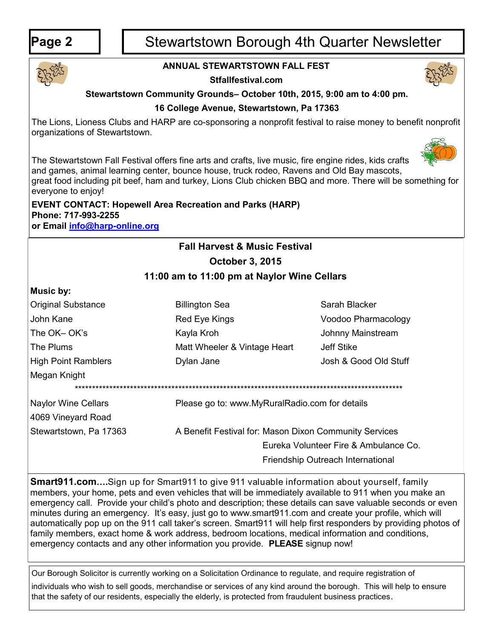# Page 2 | | Stewartstown Borough 4th Quarter Newsletter



# **ANNUAL STEWARTSTOWN FALL FEST**

**Stfallfestival.com**



## **Stewartstown Community Grounds– October 10th, 2015, 9:00 am to 4:00 pm.**

## **16 College Avenue, Stewartstown, Pa 17363**

The Lions, Lioness Clubs and HARP are co-sponsoring a nonprofit festival to raise money to benefit nonprofit organizations of Stewartstown.



The Stewartstown Fall Festival offers fine arts and crafts, live music, fire engine rides, kids crafts and games, animal learning center, bounce house, truck rodeo, Ravens and Old Bay mascots, great food including pit beef, ham and turkey, Lions Club chicken BBQ and more. There will be something for everyone to enjoy!

## **EVENT CONTACT: Hopewell Area Recreation and Parks (HARP) Phone: 717-993-2255 or Email [info@harp](mailto:info@harp-online.org)-online.org**

# **Fall Harvest & Music Festival October 3, 2015**

# **11:00 am to 11:00 pm at Naylor Wine Cellars**

#### **Music by:**

| <b>Original Substance</b>  | <b>Billington Sea</b>                                  | Sarah Blacker                         |  |  |  |  |
|----------------------------|--------------------------------------------------------|---------------------------------------|--|--|--|--|
| John Kane                  | Red Eye Kings                                          | Voodoo Pharmacology                   |  |  |  |  |
| The OK-OK's                | Kayla Kroh                                             | Johnny Mainstream                     |  |  |  |  |
| The Plums                  | Matt Wheeler & Vintage Heart                           | Jeff Stike                            |  |  |  |  |
| <b>High Point Ramblers</b> | Dylan Jane                                             | Josh & Good Old Stuff                 |  |  |  |  |
| Megan Knight               |                                                        |                                       |  |  |  |  |
|                            |                                                        |                                       |  |  |  |  |
| <b>Naylor Wine Cellars</b> | Please go to: www.MyRuralRadio.com for details         |                                       |  |  |  |  |
| 4069 Vineyard Road         |                                                        |                                       |  |  |  |  |
| Stewartstown, Pa 17363     | A Benefit Festival for: Mason Dixon Community Services |                                       |  |  |  |  |
|                            |                                                        | Eureka Volunteer Fire & Ambulance Co. |  |  |  |  |
|                            |                                                        |                                       |  |  |  |  |

**Smart911.com….**Sign up for Smart911 to give 911 valuable information about yourself, family members, your home, pets and even vehicles that will be immediately available to 911 when you make an emergency call. Provide your child's photo and description; these details can save valuable seconds or even minutes during an emergency. It's easy, just go to www.smart911.com and create your profile, which will automatically pop up on the 911 call taker's screen. Smart911 will help first responders by providing photos of family members, exact home & work address, bedroom locations, medical information and conditions, emergency contacts and any other information you provide. **PLEASE** signup now!

Friendship Outreach International

Our Borough Solicitor is currently working on a Solicitation Ordinance to regulate, and require registration of individuals who wish to sell goods, merchandise or services of any kind around the borough. This will help to ensure that the safety of our residents, especially the elderly, is protected from fraudulent business practices.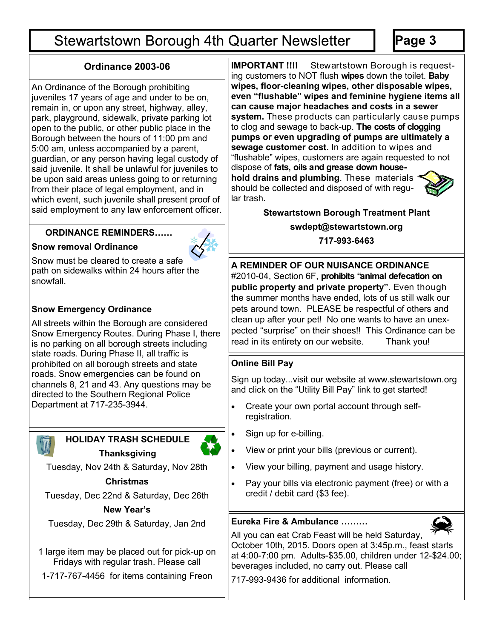# **Stewartstown Borough 4th Quarter Newsletter**

An Ordinance of the Borough prohibiting juveniles 17 years of age and under to be on, remain in, or upon any street, highway, alley, park, playground, sidewalk, private parking lot open to the public, or other public place in the Borough between the hours of 11:00 pm and 5:00 am, unless accompanied by a parent, guardian, or any person having legal custody of said juvenile. It shall be unlawful for juveniles to be upon said areas unless going to or returning from their place of legal employment, and in which event, such juvenile shall present proof of said employment to any law enforcement officer.

## **ORDINANCE REMINDERS……**

#### **Snow removal Ordinance**

Snow must be cleared to create a safe path on sidewalks within 24 hours after the snowfall.

# **Snow Emergency Ordinance**

All streets within the Borough are considered Snow Emergency Routes. During Phase I, there is no parking on all borough streets including state roads. During Phase II, all traffic is prohibited on all borough streets and state roads. Snow emergencies can be found on channels 8, 21 and 43. Any questions may be directed to the Southern Regional Police Department at 717-235-3944.



# **Thanksgiving**

Tuesday, Nov 24th & Saturday, Nov 28th

# **Christmas**

Tuesday, Dec 22nd & Saturday, Dec 26th

## **New Year's**

Tuesday, Dec 29th & Saturday, Jan 2nd

1 large item may be placed out for pick-up on Fridays with regular trash. Please call

1-717-767-4456 for items containing Freon

**Ordinance 2003-06 IMPORTANT !!!!** Stewartstown Borough is requesting customers to NOT flush **wipes** down the toilet. **Baby wipes, floor-cleaning wipes, other disposable wipes, even "flushable" wipes and feminine hygiene items all can cause major headaches and costs in a sewer system.** These products can particularly cause pumps to clog and sewage to back-up. **The costs of clogging pumps or even upgrading of pumps are ultimately a sewage customer cost.** In addition to wipes and "flushable" wipes, customers are again requested to not dispose of **fats, oils and grease down house-**

**hold drains and plumbing**. These materials should be collected and disposed of with regular trash.



**Stewartstown Borough Treatment Plant swdept@stewartstown.org**

**717-993-6463**

**A REMINDER OF OUR NUISANCE ORDINANCE**  #2010-04, Section 6F, **prohibits "animal defecation on public property and private property".** Even though the summer months have ended, lots of us still walk our pets around town. PLEASE be respectful of others and clean up after your pet! No one wants to have an unexpected "surprise" on their shoes!! This Ordinance can be read in its entirety on our website. Thank you!

# **Online Bill Pay**

Sign up today...visit our website at www.stewartstown.org and click on the "Utility Bill Pay" link to get started!

- Create your own portal account through selfregistration.
- Sign up for e-billing.
- View or print your bills (previous or current).
- View your billing, payment and usage history.
- Pay your bills via electronic payment (free) or with a credit / debit card (\$3 fee).

# **Eureka Fire & Ambulance ………**



All you can eat Crab Feast will be held Saturday, October 10th, 2015. Doors open at 3:45p.m., feast starts at 4:00-7:00 pm. Adults-\$35.00, children under 12-\$24.00; beverages included, no carry out. Please call

717-993-9436 for additional information.